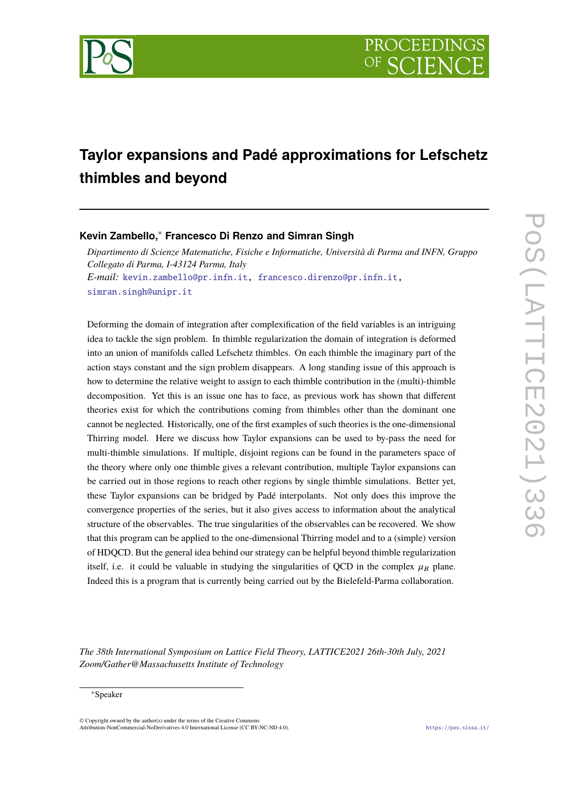

# **Taylor expansions and Padé approximations for Lefschetz thimbles and beyond**

# **Kevin Zambello,**<sup>∗</sup> **Francesco Di Renzo and Simran Singh**

*Dipartimento di Scienze Matematiche, Fisiche e Informatiche, Università di Parma and INFN, Gruppo Collegato di Parma, I-43124 Parma, Italy E-mail:* [kevin.zambello@pr.infn.it,](mailto:kevin.zambello@pr.infn.it) [francesco.direnzo@pr.infn.it,](mailto:francesco.direnzo@pr.infn.it) [simran.singh@unipr.it](mailto:simran.singh@unipr.it)

Deforming the domain of integration after complexification of the field variables is an intriguing idea to tackle the sign problem. In thimble regularization the domain of integration is deformed into an union of manifolds called Lefschetz thimbles. On each thimble the imaginary part of the action stays constant and the sign problem disappears. A long standing issue of this approach is how to determine the relative weight to assign to each thimble contribution in the (multi)-thimble decomposition. Yet this is an issue one has to face, as previous work has shown that different theories exist for which the contributions coming from thimbles other than the dominant one cannot be neglected. Historically, one of the first examples of such theories is the one-dimensional Thirring model. Here we discuss how Taylor expansions can be used to by-pass the need for multi-thimble simulations. If multiple, disjoint regions can be found in the parameters space of the theory where only one thimble gives a relevant contribution, multiple Taylor expansions can be carried out in those regions to reach other regions by single thimble simulations. Better yet, these Taylor expansions can be bridged by Padé interpolants. Not only does this improve the convergence properties of the series, but it also gives access to information about the analytical structure of the observables. The true singularities of the observables can be recovered. We show that this program can be applied to the one-dimensional Thirring model and to a (simple) version of HDQCD. But the general idea behind our strategy can be helpful beyond thimble regularization itself, i.e. it could be valuable in studying the singularities of QCD in the complex  $\mu_B$  plane. Indeed this is a program that is currently being carried out by the Bielefeld-Parma collaboration.

*The 38th International Symposium on Lattice Field Theory, LATTICE2021 26th-30th July, 2021 Zoom/Gather@Massachusetts Institute of Technology*

© Copyright owned by the author(s) under the terms of the Creative Commons Attribution-NonCommercial-NoDerivatives 4.0 International License (CC BY-NC-ND 4.0). <https://pos.sissa.it/>

<sup>∗</sup>Speaker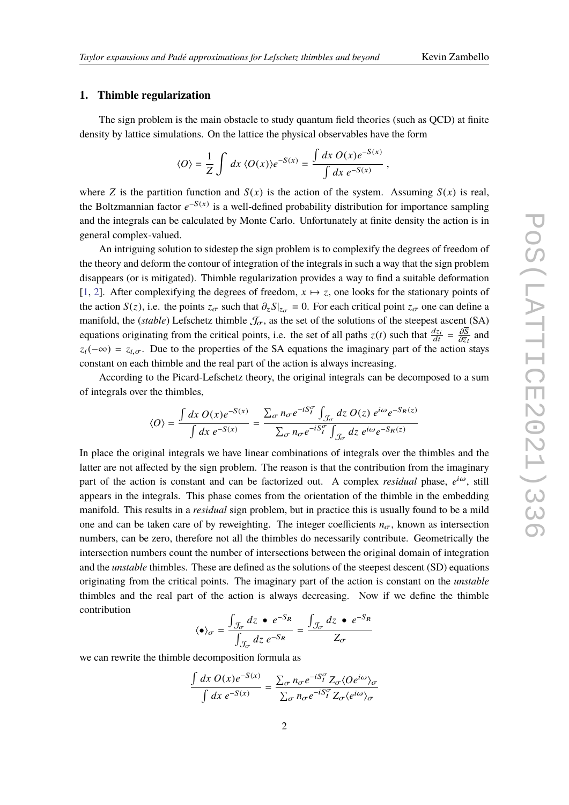### **1. Thimble regularization**

The sign problem is the main obstacle to study quantum field theories (such as QCD) at finite density by lattice simulations. On the lattice the physical observables have the form

$$
\langle O \rangle = \frac{1}{Z} \int dx \, \langle O(x) \rangle e^{-S(x)} = \frac{\int dx \, O(x) e^{-S(x)}}{\int dx \, e^{-S(x)}} \,,
$$

where *Z* is the partition function and  $S(x)$  is the action of the system. Assuming  $S(x)$  is real, the Boltzmannian factor  $e^{-S(x)}$  is a well-defined probability distribution for importance sampling and the integrals can be calculated by Monte Carlo. Unfortunately at finite density the action is in general complex-valued.

An intriguing solution to sidestep the sign problem is to complexify the degrees of freedom of the theory and deform the contour of integration of the integrals in such a way that the sign problem disappears (or is mitigated). Thimble regularization provides a way to find a suitable deformation [\[1,](#page-5-0) [2\]](#page-6-0). After complexifying the degrees of freedom,  $x \mapsto z$ , one looks for the stationary points of the action *S*(*z*), i.e. the points  $z_{\sigma}$  such that  $\partial_z S|_{z_{\sigma}} = 0$ . For each critical point  $z_{\sigma}$  one can define a manifold, the (*stable*) Lefschetz thimble  $\mathcal{J}_{\sigma}$ , as the set of the solutions of the steepest ascent (SA) equations originating from the critical points, i.e. the set of all paths  $z(t)$  such that  $\frac{dz_i}{dt} = \frac{\partial \overline{S}}{\partial \overline{z}_i}$  and  $\frac{\partial \overline{z}_i}{\partial n}$  $z_i(-\infty) = z_{i,\sigma}$ . Due to the properties of the SA equations the imaginary part of the action stays constant on each thimble and the real part of the action is always increasing.

According to the Picard-Lefschetz theory, the original integrals can be decomposed to a sum of integrals over the thimbles,

$$
\langle O \rangle = \frac{\int dx \, O(x) e^{-S(x)}}{\int dx \, e^{-S(x)}} = \frac{\sum_{\sigma} n_{\sigma} e^{-iS_{I}^{\sigma}} \int_{\mathcal{J}_{\sigma}} dz \, O(z) \, e^{i\omega} e^{-S_{R}(z)}}{\sum_{\sigma} n_{\sigma} e^{-iS_{I}^{\sigma}} \int_{\mathcal{J}_{\sigma}} dz \, e^{i\omega} e^{-S_{R}(z)}}
$$

In place the original integrals we have linear combinations of integrals over the thimbles and the latter are not affected by the sign problem. The reason is that the contribution from the imaginary part of the action is constant and can be factorized out. A complex *residual* phase,  $e^{i\omega}$ , still appears in the integrals. This phase comes from the orientation of the thimble in the embedding manifold. This results in a *residual* sign problem, but in practice this is usually found to be a mild one and can be taken care of by reweighting. The integer coefficients  $n_{\sigma}$ , known as intersection numbers, can be zero, therefore not all the thimbles do necessarily contribute. Geometrically the intersection numbers count the number of intersections between the original domain of integration and the *unstable* thimbles. These are defined as the solutions of the steepest descent (SD) equations originating from the critical points. The imaginary part of the action is constant on the *unstable* thimbles and the real part of the action is always decreasing. Now if we define the thimble contribution

$$
\langle \bullet \rangle_{\sigma} = \frac{\int_{\mathcal{J}_{\sigma}} dz \bullet e^{-S_R}}{\int_{\mathcal{J}_{\sigma}} dz e^{-S_R}} = \frac{\int_{\mathcal{J}_{\sigma}} dz \bullet e^{-S_R}}{Z_{\sigma}}
$$

we can rewrite the thimble decomposition formula as

$$
\frac{\int dx \, O(x)e^{-S(x)}}{\int dx \, e^{-S(x)}} = \frac{\sum_{\sigma} n_{\sigma} e^{-iS_{I}^{\sigma}} Z_{\sigma} \langle O e^{i\omega} \rangle_{\sigma}}{\sum_{\sigma} n_{\sigma} e^{-iS_{I}^{\sigma}} Z_{\sigma} \langle e^{i\omega} \rangle_{\sigma}}
$$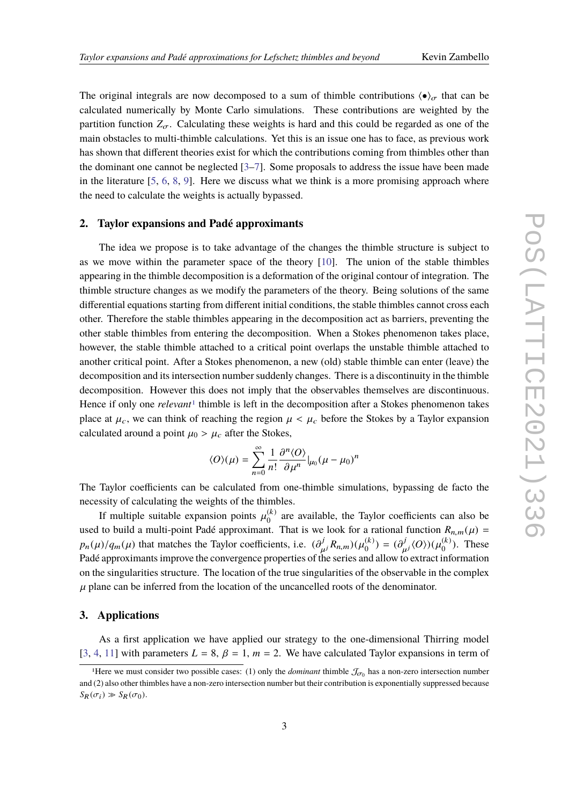The original integrals are now decomposed to a sum of thimble contributions  $\langle \bullet \rangle_{\sigma}$  that can be calculated numerically by Monte Carlo simulations. These contributions are weighted by the partition function  $Z_{\sigma}$ . Calculating these weights is hard and this could be regarded as one of the main obstacles to multi-thimble calculations. Yet this is an issue one has to face, as previous work has shown that different theories exist for which the contributions coming from thimbles other than the dominant one cannot be neglected [\[3](#page-6-1)[–7\]](#page-6-2). Some proposals to address the issue have been made in the literature  $[5, 6, 8, 9]$  $[5, 6, 8, 9]$  $[5, 6, 8, 9]$  $[5, 6, 8, 9]$  $[5, 6, 8, 9]$  $[5, 6, 8, 9]$  $[5, 6, 8, 9]$ . Here we discuss what we think is a more promising approach where the need to calculate the weights is actually bypassed.

#### **2. Taylor expansions and Padé approximants**

The idea we propose is to take advantage of the changes the thimble structure is subject to as we move within the parameter space of the theory [\[10\]](#page-6-7). The union of the stable thimbles appearing in the thimble decomposition is a deformation of the original contour of integration. The thimble structure changes as we modify the parameters of the theory. Being solutions of the same differential equations starting from different initial conditions, the stable thimbles cannot cross each other. Therefore the stable thimbles appearing in the decomposition act as barriers, preventing the other stable thimbles from entering the decomposition. When a Stokes phenomenon takes place, however, the stable thimble attached to a critical point overlaps the unstable thimble attached to another critical point. After a Stokes phenomenon, a new (old) stable thimble can enter (leave) the decomposition and its intersection number suddenly changes. There is a discontinuity in the thimble decomposition. However this does not imply that the observables themselves are discontinuous. Hence if only one *relevant*<sup>[1](#page-2-0)</sup> thimble is left in the decomposition after a Stokes phenomenon takes place at  $\mu_c$ , we can think of reaching the region  $\mu < \mu_c$  before the Stokes by a Taylor expansion calculated around a point  $\mu_0 > \mu_c$  after the Stokes,

$$
\langle O \rangle(\mu) = \sum_{n=0}^{\infty} \frac{1}{n!} \frac{\partial^n \langle O \rangle}{\partial \mu^n} |_{\mu_0} (\mu - \mu_0)^n
$$

The Taylor coefficients can be calculated from one-thimble simulations, bypassing de facto the necessity of calculating the weights of the thimbles.

If multiple suitable expansion points  $\mu_0^{(k)}$  $\binom{1}{0}$  are available, the Taylor coefficients can also be used to build a multi-point Padé approximant. That is we look for a rational function  $R_{n,m}(\mu)$  =  $p_n(\mu)/q_m(\mu)$  that matches the Taylor coefficients, i.e.  $(\partial_{\mu}^j R_{n,m})(\mu_0^{(k)})$ <br>Padé approximants improve the convergence properties of the series and  $\binom{k}{0} = \left(\frac{\partial^j}{\mu^j} \langle O \rangle\right) (\mu_0^{(k)})$ Pathology and material the ray of coefficients, i.e.  $(\partial_{\mu}R_{n,m})(\mu_0) - (\partial_{\mu}R_{n,m})(\mu_0)$ . These Padé approximants improve the convergence properties of the series and allow to extract information  $\binom{K}{0}$ . These on the singularities structure. The location of the true singularities of the observable in the complex  $\mu$  plane can be inferred from the location of the uncancelled roots of the denominator.

#### **3. Applications**

As a first application we have applied our strategy to the one-dimensional Thirring model [\[3,](#page-6-1) [4,](#page-6-8) [11\]](#page-6-9) with parameters  $L = 8$ ,  $\beta = 1$ ,  $m = 2$ . We have calculated Taylor expansions in term of

<span id="page-2-0"></span><sup>&</sup>lt;sup>1</sup>Here we must consider two possible cases: (1) only the *dominant* thimble  $\mathcal{J}_{\sigma_0}$  has a non-zero intersection number (2) also attend in the leave age as a sequence of the summer of the summer of the summer of the and (2) also other thimbles have a non-zero intersection number but their contribution is exponentially suppressed because  $S_R(\sigma_i) \gg S_R(\sigma_0).$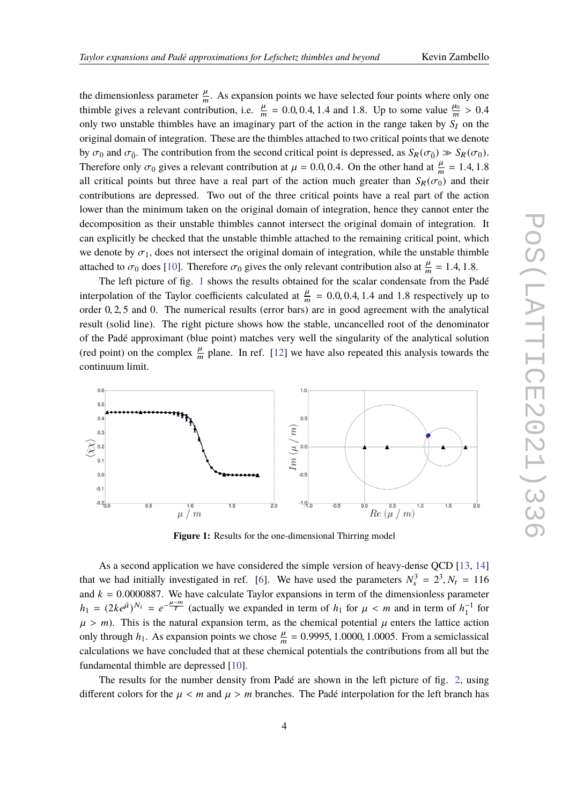the dimensionless parameter  $\frac{\mu}{m}$ . As expansion points we have selected four points where only one thimble gives a relevant contribution, i.e.  $\frac{\mu}{m} = 0.0, 0.4, 1.4$  and 1.8. Up to some value  $\frac{\mu_0}{m} > 0.4$ <br>cally two unateble thimbles heve an imaginary next of the estion in the gange taken by  $\frac{c}{m}$  on the only two unstable thimbles have an imaginary part of the action in the range taken by  $S_I$  on the original domain of integration. These are the thimbles attached to two critical points that we denote by  $\sigma_0$  and  $\sigma_{\bar{0}}$ . The contribution from the second critical point is depressed, as  $S_R(\sigma_{\bar{0}}) \gg S_R(\sigma_0)$ . Therefore only  $\sigma_0$  gives a relevant contribution at  $\mu = 0.0, 0.4$ . On the other hand at  $\frac{\mu}{m} = 1.4, 1.8$ all critical points but three have a real part of the action much greater than  $S_R(\sigma_0)$  and their contributions are depressed. Two out of the three critical points have a real part of the action lower than the minimum taken on the original domain of integration, hence they cannot enter the decomposition as their unstable thimbles cannot intersect the original domain of integration. It can explicitly be checked that the unstable thimble attached to the remaining critical point, which we denote by  $\sigma_1$ , does not intersect the original domain of integration, while the unstable thimble attached to  $\sigma_0$  does [\[10\]](#page-6-7). Therefore  $\sigma_0$  gives the only relevant contribution also at  $\frac{\mu}{m} = 1.4, 1.8$ .

The left picture of fig. [1](#page-3-0) shows the results obtained for the scalar condensate from the Padé interpolation of the Taylor coefficients calculated at  $\frac{\mu}{m} = 0.0, 0.4, 1.4$  and 1.8 respectively up to each a not only to each a substitute of  $\frac{1}{2}$ . order <sup>0</sup>, <sup>2</sup>, <sup>5</sup> and 0. The numerical results (error bars) are in good agreement with the analytical result (solid line). The right picture shows how the stable, uncancelled root of the denominator of the Padé approximant (blue point) matches very well the singularity of the analytical solution (red point) on the complex  $\frac{\mu}{m}$  plane. In ref. [\[12\]](#page-6-10) we have also repeated this analysis towards the continuum limit.

<span id="page-3-0"></span>

**Figure 1:** Results for the one-dimensional Thirring model

As a second application we have considered the simple version of heavy-dense QCD [\[13,](#page-6-11) [14\]](#page-6-12) that we had initially investigated in ref. [\[6\]](#page-6-4). We have used the parameters  $N_s^3 = 2^3$ ,  $N_t = 116$ <br>and  $k = 0.0000827$ . We have selected Taylor agreements in term of the dimensionless naremeters and  $k = 0.0000887$ . We have calculate Taylor expansions in term of the dimensionless parameter  $k = (2k_0 \hat{u})N_t = e^{-\frac{\mu - m}{2}}$  (estually use sympatical in term of  $k_0$  for  $\mu \leq m$  and in term of  $k^{-1}$  for  $h_1 = (2ke^{\hat{\mu}})^{N_t} = e^{-\frac{\mu - m}{T}}$  (actually we expanded in term of *h*<sub>1</sub> for  $\mu < m$  and in term of *h*<sub>1</sub><sup>-1</sup> for  $\mu > m$ ). This is the natural expansion term, as the chemical potential  $\mu$  enters the lattice action only through  $h_1$ . As expansion points we chose  $\frac{\mu}{m} = 0.9995, 1.0000, 1.0005$ . From a semiclassical expansion of the sense of the sense of the sense of the sense of the sense of the sense of the sense of the sense of calculations we have concluded that at these chemical potentials the contributions from all but the fundamental thimble are depressed [\[10\]](#page-6-7).

The results for the number density from Padé are shown in the left picture of fig. [2,](#page-4-0) using different colors for the  $\mu < m$  and  $\mu > m$  branches. The Padé interpolation for the left branch has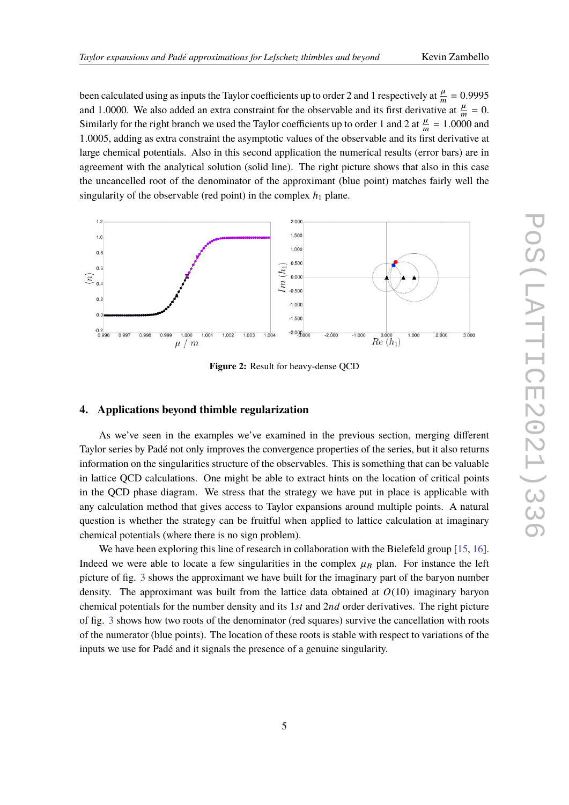been calculated using as inputs the Taylor coefficients up to order 2 and 1 respectively at  $\frac{\mu}{m} = 0.9995$ <br>and 1,0000. We also added an autre constraint for the absenuable and its first derivative at  $\mu = 0$ . and 1.0000. We also added an extra constraint for the observable and its first derivative at  $\frac{\mu}{m} = 0$ .<br>Similarly for the right heapsh we used the Taylor seefficients up to order 1 and 2 at  $\mu = 1.0000$  and Similarly for the right branch we used the Taylor coefficients up to order 1 and 2 at  $\frac{\mu}{m} = 1.0000$  and  $\frac{1}{2} \times 10005$  and  $\frac{1}{2} \times 10005$  and  $\frac{1}{2} \times 10005$  and  $\frac{1}{2} \times 10005$  and  $\frac{1}{2} \times 10005$  and  $\frac$ <sup>1</sup>.0005, adding as extra constraint the asymptotic values of the observable and its first derivative at large chemical potentials. Also in this second application the numerical results (error bars) are in agreement with the analytical solution (solid line). The right picture shows that also in this case the uncancelled root of the denominator of the approximant (blue point) matches fairly well the singularity of the observable (red point) in the complex  $h_1$  plane.

<span id="page-4-0"></span>

**Figure 2:** Result for heavy-dense QCD

### **4. Applications beyond thimble regularization**

As we've seen in the examples we've examined in the previous section, merging different Taylor series by Padé not only improves the convergence properties of the series, but it also returns information on the singularities structure of the observables. This is something that can be valuable in lattice QCD calculations. One might be able to extract hints on the location of critical points in the QCD phase diagram. We stress that the strategy we have put in place is applicable with any calculation method that gives access to Taylor expansions around multiple points. A natural question is whether the strategy can be fruitful when applied to lattice calculation at imaginary chemical potentials (where there is no sign problem).

We have been exploring this line of research in collaboration with the Bielefeld group [\[15,](#page-6-13) [16\]](#page-6-14). Indeed we were able to locate a few singularities in the complex  $\mu_B$  plan. For instance the left picture of fig. [3](#page-5-1) shows the approximant we have built for the imaginary part of the baryon number density. The approximant was built from the lattice data obtained at *O*(10) imaginary baryon chemical potentials for the number density and its 1*st* and 2*nd* order derivatives. The right picture of fig. [3](#page-5-1) shows how two roots of the denominator (red squares) survive the cancellation with roots of the numerator (blue points). The location of these roots is stable with respect to variations of the inputs we use for Padé and it signals the presence of a genuine singularity.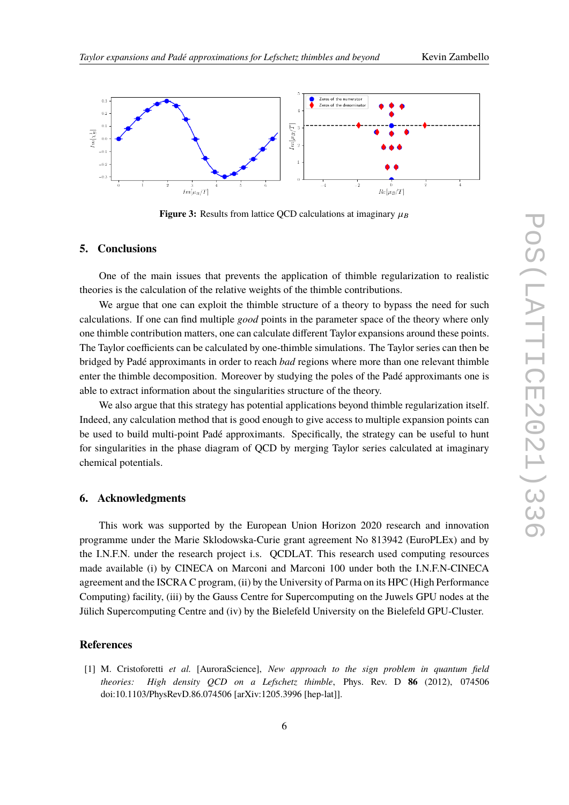

<span id="page-5-1"></span>

**Figure 3:** Results from lattice QCD calculations at imaginary  $\mu_B$ 

# **5. Conclusions**

One of the main issues that prevents the application of thimble regularization to realistic theories is the calculation of the relative weights of the thimble contributions.

We argue that one can exploit the thimble structure of a theory to bypass the need for such calculations. If one can find multiple *good* points in the parameter space of the theory where only one thimble contribution matters, one can calculate different Taylor expansions around these points. The Taylor coefficients can be calculated by one-thimble simulations. The Taylor series can then be bridged by Padé approximants in order to reach *bad* regions where more than one relevant thimble enter the thimble decomposition. Moreover by studying the poles of the Padé approximants one is able to extract information about the singularities structure of the theory.

We also argue that this strategy has potential applications beyond thimble regularization itself. Indeed, any calculation method that is good enough to give access to multiple expansion points can be used to build multi-point Padé approximants. Specifically, the strategy can be useful to hunt for singularities in the phase diagram of QCD by merging Taylor series calculated at imaginary chemical potentials.

## **6. Acknowledgments**

This work was supported by the European Union Horizon 2020 research and innovation programme under the Marie Sklodowska-Curie grant agreement No 813942 (EuroPLEx) and by the I.N.F.N. under the research project i.s. QCDLAT. This research used computing resources made available (i) by CINECA on Marconi and Marconi 100 under both the I.N.F.N-CINECA agreement and the ISCRA C program, (ii) by the University of Parma on its HPC (High Performance Computing) facility, (iii) by the Gauss Centre for Supercomputing on the Juwels GPU nodes at the Jülich Supercomputing Centre and (iv) by the Bielefeld University on the Bielefeld GPU-Cluster.

# **References**

<span id="page-5-0"></span>[1] M. Cristoforetti *et al.* [AuroraScience], *New approach to the sign problem in quantum field theories: High density QCD on a Lefschetz thimble*, Phys. Rev. D **86** (2012), 074506 doi:10.1103/PhysRevD.86.074506 [arXiv:1205.3996 [hep-lat]].